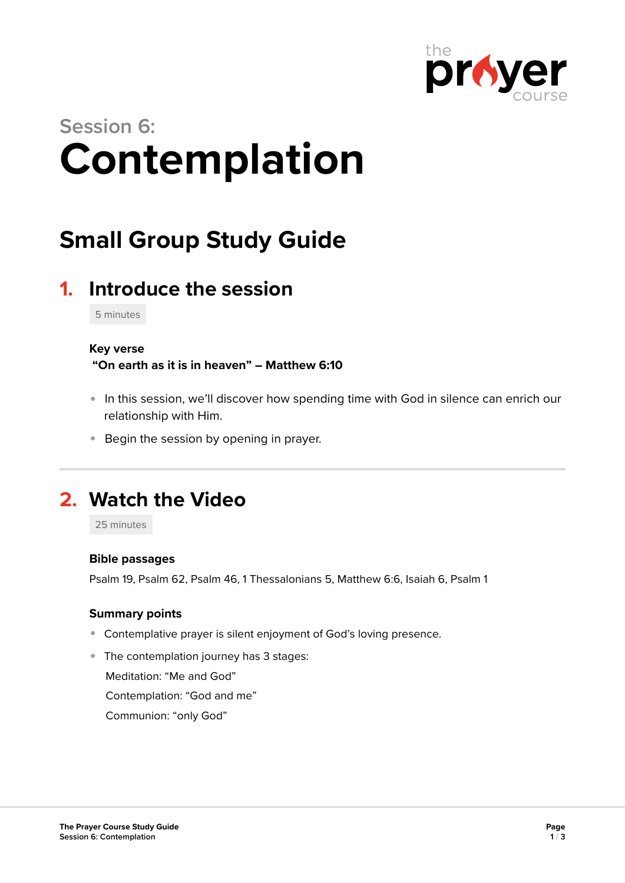

# **Session 6: Contemplation**

## **Small Group Study Guide**

## **1. Introduce the session**

5 minutes

#### **Key verse**

 **"On earth as it is in heaven" – Matthew 6:10** 

- In this session, we'll discover how spending time with God in silence can enrich our relationship with Him.
- **Begin the session by opening in prayer.**

## **2. Watch the Video**

25 minutes

#### **Bible passages**

Psalm 19, Psalm 62, Psalm 46, 1 Thessalonians 5, Matthew 6:6, Isaiah 6, Psalm 1

#### **Summary points**

- Contemplative prayer is silent enjoyment of God's loving presence.
- The contemplation journey has 3 stages:

Meditation: "Me and God"

Contemplation: "God and me"

Communion: "only God"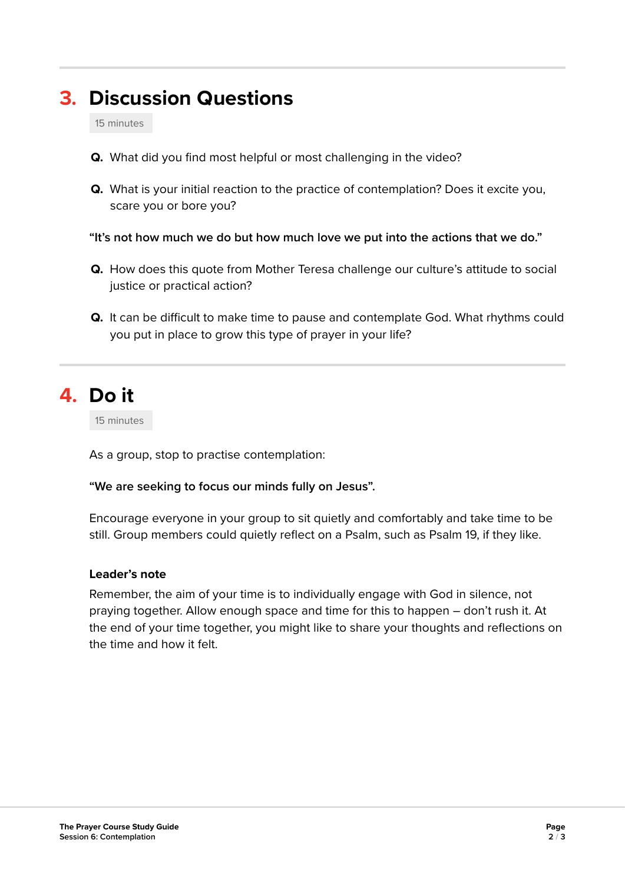## **3. Discussion Questions**

15 minutes

- **Q.** What did you find most helpful or most challenging in the video?
- **Q.** What is your initial reaction to the practice of contemplation? Does it excite you, scare you or bore you?

**"It's not how much we do but how much love we put into the actions that we do."** 

- **Q.** How does this quote from Mother Teresa challenge our culture's attitude to social justice or practical action?
- **Q.** It can be difficult to make time to pause and contemplate God. What rhythms could you put in place to grow this type of prayer in your life?

### **4. Do it**

15 minutes

As a group, stop to practise contemplation:

#### **"We are seeking to focus our minds fully on Jesus".**

Encourage everyone in your group to sit quietly and comfortably and take time to be still. Group members could quietly reflect on a Psalm, such as Psalm 19, if they like.

#### **Leader's note**

Remember, the aim of your time is to individually engage with God in silence, not praying together. Allow enough space and time for this to happen – don't rush it. At the end of your time together, you might like to share your thoughts and reflections on the time and how it felt.